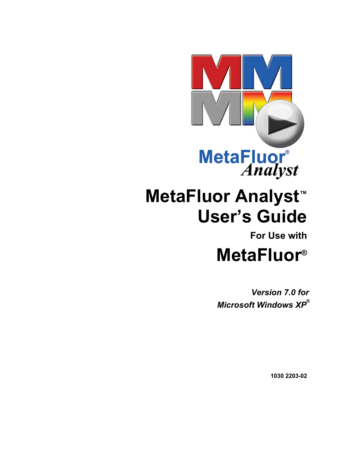

# **MetaFluor Analyst™ User's Guide**

# **For Use with**

# **MetaFluor®**

*Version 7.0 for Microsoft Windows XP***®**

**1030 2203-02**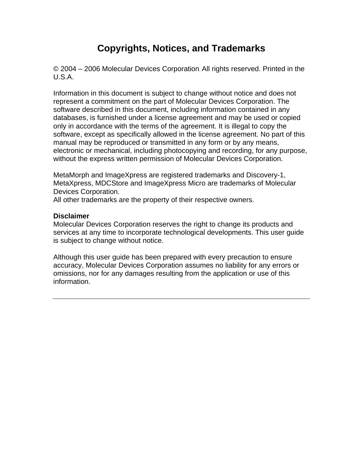# **Copyrights, Notices, and Trademarks**

© 2004 – 2006 Molecular Devices Corporation. All rights reserved. Printed in the U.S.A.

Information in this document is subject to change without notice and does not represent a commitment on the part of Molecular Devices Corporation. The software described in this document, including information contained in any databases, is furnished under a license agreement and may be used or copied only in accordance with the terms of the agreement. It is illegal to copy the software, except as specifically allowed in the license agreement. No part of this manual may be reproduced or transmitted in any form or by any means, electronic or mechanical, including photocopying and recording, for any purpose, without the express written permission of Molecular Devices Corporation.

MetaMorph and ImageXpress are registered trademarks and Discovery-1, MetaXpress, MDCStore and ImageXpress Micro are trademarks of Molecular Devices Corporation.

All other trademarks are the property of their respective owners.

#### **Disclaimer**

Molecular Devices Corporation reserves the right to change its products and services at any time to incorporate technological developments. This user guide is subject to change without notice.

Although this user guide has been prepared with every precaution to ensure accuracy, Molecular Devices Corporation assumes no liability for any errors or omissions, nor for any damages resulting from the application or use of this information.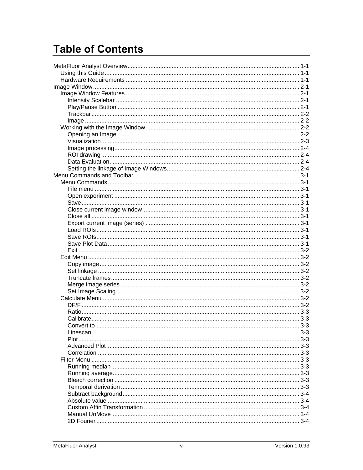# **Table of Contents**

| $3 - 3$ |
|---------|
|         |
|         |
|         |
|         |
|         |
|         |
|         |
|         |
|         |
|         |
|         |
|         |
|         |
|         |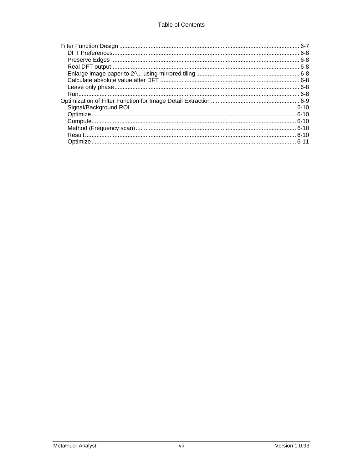| հ-7 |
|-----|
|     |
|     |
|     |
|     |
|     |
|     |
|     |
|     |
|     |
|     |
|     |
|     |
|     |
|     |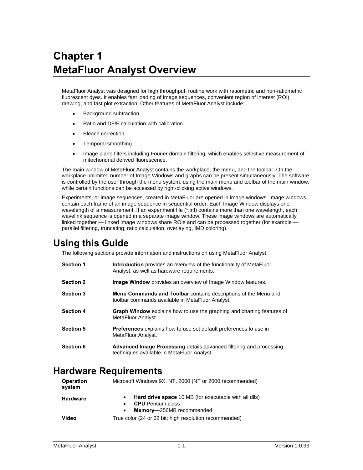# <span id="page-7-0"></span>**Chapter 1 MetaFluor Analyst Overview**

MetaFluor Analyst was designed for high throughput, routine work with ratiometric and non-ratiometric fluorescent dyes. It enables fast loading of image sequences, convenient region of interest (ROI) drawing, and fast plot extraction. Other features of MetaFluor Analyst include:

- Background subtraction
- Ratio and DF/F calculation with calibration
- **Bleach correction**
- Temporal smoothing
- Image plane filters including Fourier domain filtering, which enables selective measurement of mitochondrial derived fluorescence.

The main window of MetaFluor Analyst contains the workplace, the menu, and the toolbar. On the workplace unlimited number of Image Windows and graphs can be present simultaneously. The software is controlled by the user through the menu system: using the main menu and toolbar of the main window, while certain functions can be accessed by right-clicking active windows.

Experiments, or image sequences, created in MetaFluor are opened in image windows. Image windows contain each frame of an image sequence in sequential order. Each Image Window displays one wavelength of a measurement. If an experiment file (\*.inf) contains more than one wavelength, each wavelink sequence is opened in a separate image window. These image windows are automatically linked together — linked image windows share ROIs and can be processed together (for example parallel filtering, truncating, ratio calculation, overlaying, IMD coloring).

# <span id="page-7-1"></span>**Using this Guide**

The following sections provide information and instructions on using MetaFluor Analyst:

| <b>Section 1</b> | <b>Introduction</b> provides an overview of the functionality of MetaFluor<br>Analyst, as well as hardware requirements.   |
|------------------|----------------------------------------------------------------------------------------------------------------------------|
| <b>Section 2</b> | <b>Image Window</b> provides an overview of Image Window features.                                                         |
| <b>Section 3</b> | <b>Menu Commands and Toolbar</b> contains descriptions of the Menu and<br>toolbar commands available in MetaFluor Analyst. |
| <b>Section 4</b> | <b>Graph Window</b> explains how to use the graphing and charting features of<br>MetaFluor Analyst.                        |
| <b>Section 5</b> | <b>Preferences</b> explains how to use set default preferences to use in<br>MetaFluor Analyst.                             |
| Section 6        | <b>Advanced Image Processing details advanced filtering and processing</b><br>techniques available in MetaFluor Analyst.   |

# <span id="page-7-2"></span>**Hardware Requirements**

| <b>Operation</b><br>system | Microsoft Windows 9X, NT, 2000 (NT or 2000 recommended)                                                                    |  |  |
|----------------------------|----------------------------------------------------------------------------------------------------------------------------|--|--|
| <b>Hardware</b>            | Hard drive space 10 MB (for executable with all dlls)<br><b>CPU</b> Pentium class<br>Memory-256MB recommended<br>$\bullet$ |  |  |
| Video                      | True color (24 or 32 bit; high resolution recommended)                                                                     |  |  |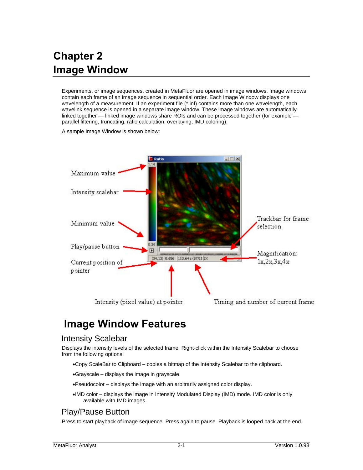# <span id="page-8-0"></span>**Chapter 2 Image Window**

Experiments, or image sequences, created in MetaFluor are opened in image windows. Image windows contain each frame of an image sequence in sequential order. Each Image Window displays one wavelength of a measurement. If an experiment file (\*.inf) contains more than one wavelength, each wavelink sequence is opened in a separate image window. These image windows are automatically linked together — linked image windows share ROIs and can be processed together (for example parallel filtering, truncating, ratio calculation, overlaying, IMD coloring).

A sample Image Window is shown below:



# <span id="page-8-1"></span>**Image Window Features**

### <span id="page-8-2"></span>Intensity Scalebar

Displays the intensity levels of the selected frame. Right-click within the Intensity Scalebar to choose from the following options:

- •Copy ScaleBar to Clipboard copies a bitmap of the Intensity Scalebar to the clipboard.
- •Grayscale displays the image in grayscale.
- •Pseudocolor displays the image with an arbitrarily assigned color display.
- •IMD color displays the image in Intensity Modulated Display (IMD) mode. IMD color is only available with IMD images.

### <span id="page-8-3"></span>Play/Pause Button

Press to start playback of image sequence. Press again to pause. Playback is looped back at the end.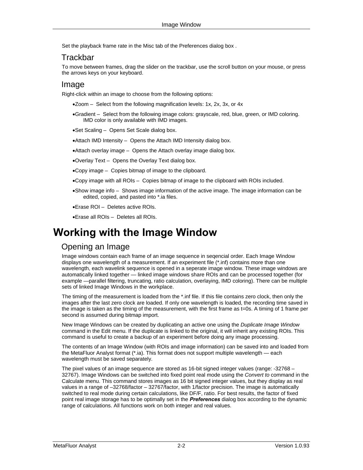Set the playback frame rate in the Misc tab of the Preferences dialog box .

#### <span id="page-9-0"></span>**Trackbar**

To move between frames, drag the slider on the trackbar, use the scroll button on your mouse, or press the arrows keys on your keyboard.

#### <span id="page-9-1"></span>Image

Right-click within an image to choose from the following options:

- •Zoom Select from the following magnification levels: 1x, 2x, 3x, or 4x
- •Gradient Select from the following image colors: grayscale, red, blue, green, or IMD coloring. IMD color is only available with IMD images.
- •Set Scaling Opens Set Scale dialog box.
- •Attach IMD Intensity Opens the Attach IMD Intensity dialog box.
- •Attach overlay image Opens the Attach overlay image dialog box.
- •Overlay Text Opens the Overlay Text dialog box.
- •Copy image Copies bitmap of image to the clipboard.
- •Copy image with all ROIs Copies bitmap of image to the clipboard with ROIs included.
- •Show image info Shows image information of the active image. The image information can be edited, copied, and pasted into \*.ia files.
- •Erase ROI Deletes active ROIs.
- •Erase all ROIs Deletes all ROIs.

# <span id="page-9-2"></span>**Working with the Image Window**

# <span id="page-9-3"></span>Opening an Image

Image windows contain each frame of an image sequence in seqencial order. Each Image Window displays one wavelength of a measurement. If an experiment file (\*.inf) contains more than one wavelength, each wavelink sequence is opened in a seperate image window. These image windows are automatically linked together — linked image windows share ROIs and can be processed together (for example —parallel filtering, truncating, ratio calculation, overlaying, IMD coloring). There can be multiple sets of linked Image Windows in the workplace.

The timing of the measurement is loaded from the \*.inf file. If this file contains zero clock, then only the images after the last zero clock are loaded. If only one wavelength is loaded, the recording time saved in the image is taken as the timing of the measurement, with the first frame as t=0s. A timing of 1 frame per second is assumed during bitmap import.

New Image Windows can be created by duplicating an active one using the *Duplicate Image Window*  command in the Edit menu. If the duplicate is linked to the original, it will inherit any existing ROIs. This command is useful to create a backup of an experiment before doing any image processing.

The contents of an Image Window (with ROIs and image information) can be saved into and loaded from the MetaFluor Analyst format (\*.ia). This format does not support multiple wavelength — each wavelength must be saved separately.

The pixel values of an image sequence are stored as 16-bit signed integer values (range: -32768 – 32767). Image Windows can be switched into fixed point real mode using the *Convert to* command in the Calculate menu. This command stores images as 16 bit signed integer values, but they display as real values in a range of –32768/factor – 32767/factor, with 1/factor precision. The image is automatically switched to real mode during certain calculations, like DF/F, ratio. For best results, the factor of fixed point real image storage has to be optimally set in the *Preferences* dialog box according to the dynamic range of calculations. All functions work on both integer and real values.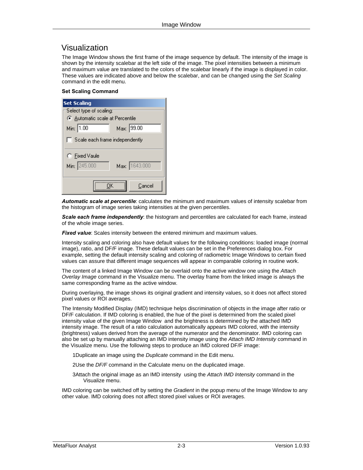#### <span id="page-10-0"></span>Visualization

The Image Window shows the first frame of the image sequence by default. The intensity of the image is shown by the intensity scalebar at the left side of the image. The pixel intensities between a minimum and maximum value are translated to the colors of the scalebar linearly if the image is displayed in color. These values are indicated above and below the scalebar, and can be changed using the *Set Scaling* command in the edit menu.

#### **Set Scaling Command**

| <b>Set Scaling</b>                    |               |  |  |
|---------------------------------------|---------------|--|--|
| Select type of scaling:               |               |  |  |
| C Automatic scale at Percentile       |               |  |  |
| Min: 1.00                             | Max: 99.00    |  |  |
| $\Box$ Scale each frame independently |               |  |  |
| C Fixed Vaule                         |               |  |  |
| Min: 245.000                          | Max: 1643.000 |  |  |
|                                       | Cancel        |  |  |

*Automatic scale at percentile*: calculates the minimum and maximum values of intensity scalebar from the histogram of image series taking intensities at the given percentiles.

**Scale each frame independently:** the histogram and percentiles are calculated for each frame, instead of the whole image series.

*Fixed value*: Scales intensity between the entered minimum and maximum values.

Intensity scaling and coloring also have default values for the following conditions: loaded image (normal image), ratio, and DF/F image. These default values can be set in the Preferences dialog box. For example, setting the default intensity scaling and coloring of radiometric Image Windows to certain fixed values can assure that different image sequences will appear in comparable coloring in routine work.

The content of a linked Image Window can be overlaid onto the active window one using the *Attach Overlay Image* command in the Visualize menu. The overlay frame from the linked image is always the same corresponding frame as the active window.

During overlaying, the image shows its original gradient and intensity values, so it does not affect stored pixel values or ROI averages.

The Intensity Modified Display (IMD) technique helps discrimination of objects in the image after ratio or DF/F calculation. If IMD coloring is enabled, the hue of the pixel is determined from the scaled pixel intensity value of the given Image Window and the brightness is determined by the attached IMD intensity image. The result of a ratio calculation automatically appears IMD colored, with the intensity (brightness) values derived from the average of the numerator and the denominator. IMD coloring can also be set up by manually attaching an IMD intensity image using the *Attach IMD Intensity* command in the Visualize menu. Use the following steps to produce an IMD colored DF/F image:

1Duplicate an image using the *Duplicate* command in the Edit menu.

2Use the *DF/F* command in the Calculate menu on the duplicated image.

3Attach the original image as an IMD intensity using the *Attach IMD Intensity* command in the Visualize menu.

IMD coloring can be switched off by setting the *Gradient* in the popup menu of the Image Window to any other value. IMD coloring does not affect stored pixel values or ROI averages.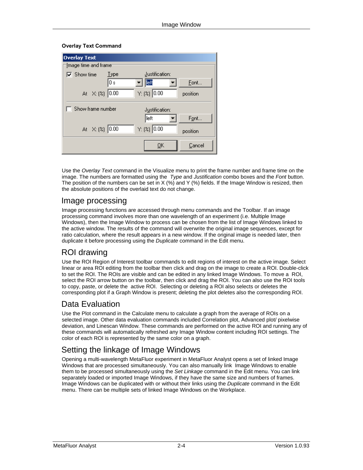#### **Overlay Text Command**

| <b>Overlay Text</b>         |      |                    |          |
|-----------------------------|------|--------------------|----------|
| Image time and frame:       |      |                    |          |
| $\overline{\vee}$ Show time | Type | Justification:     |          |
|                             | 10 s | left               | Eont     |
| At X: (%) 0.00              |      | $Y: (2)$ 0.00      | position |
| Show frame number           |      | Justification:     |          |
|                             |      | left               | Font     |
| At $\chi$ : (%) 0.00        |      | $Y: (2) \,   0.00$ | position |
|                             |      |                    |          |

Use the *Overlay Text* command in the Visualize menu to print the frame number and frame time on the image. The numbers are formatted using the *Type* and *Justification* combo boxes and the *Font* button. The position of the numbers can be set in  $X$  (%) and Y (%) fields. If the Image Window is resized, then the absolute positions of the overlaid text do not change.

#### <span id="page-11-0"></span>Image processing

Image processing functions are accessed through menu commands and the Toolbar. If an image processing command involves more than one wavelength of an experiment (i.e. Multiple Image Windows), then the Image Window to process can be chosen from the list of Image Windows linked to the active window. The results of the command will overwrite the original image sequences, except for ratio calculation, where the result appears in a new window. If the original image is needed later, then duplicate it before processing using the *Duplicate* command in the Edit menu.

### <span id="page-11-1"></span>ROI drawing

Use the ROI Region of Interest toolbar commands to edit regions of interest on the active image. Select linear or area ROI editing from the toolbar then click and drag on the image to create a ROI. Double-click to set the ROI. The ROIs are visible and can be edited in any linked Image Windows. To move a ROI, select the ROI arrow button on the toolbar, then click and drag the ROI. You can also use the ROI tools to copy, paste, or delete the active ROI. Selecting or deleting a ROI also selects or deletes the corresponding plot if a Graph Window is present; deleting the plot deletes also the corresponding ROI.

### <span id="page-11-2"></span>Data Evaluation

Use the Plot command in the Calculate menu to calculate a graph from the average of ROIs on a selected image. Other data evaluation commands included Correlation plot, Advanced plot/ pixelwise deviation, and Linescan Window. These commands are performed on the active ROI and running any of these commands will automatically refreshed any Image Window content including ROI settings. The color of each ROI is represented by the same color on a graph.

# <span id="page-11-3"></span>Setting the linkage of Image Windows

Opening a multi-wavelength MetaFluor experiment in MetaFluor Analyst opens a set of linked Image Windows that are processed simultaneously. You can also manually link Image Windows to enable them to be processed simultaneously using the *Set Linkage* command in the Edit menu. You can link separately loaded or imported Image Windows, if they have the same size and numbers of frames. Image Windows can be duplicated with or without their links using the *Duplicate* command in the Edit menu. There can be multiple sets of linked Image Windows on the Workplace.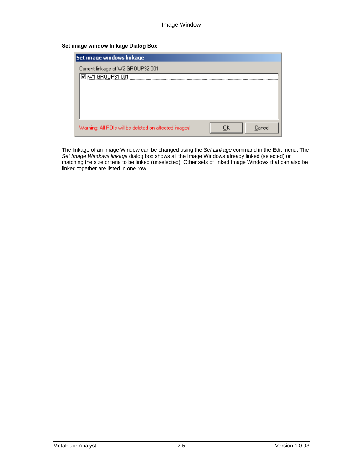#### **Set image window linkage Dialog Box**

| Cancel |
|--------|
|        |

The linkage of an Image Window can be changed using the *Set Linkage* command in the Edit menu. The *Set Image Windows linkage* dialog box shows all the Image Windows already linked (selected) or matching the size criteria to be linked (unselected). Other sets of linked Image Windows that can also be linked together are listed in one row.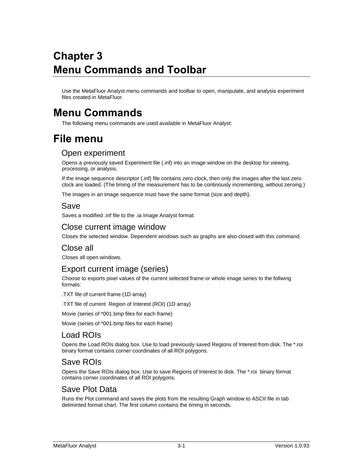# <span id="page-13-0"></span>**Chapter 3 Menu Commands and Toolbar**

Use the MetaFluor Analyst menu commands and toolbar to open, manipulate, and analysis experiment files created in MetaFluor.

# <span id="page-13-1"></span>**Menu Commands**

The following menu commands are used available in MetaFluor Analyst:

# <span id="page-13-2"></span>**File menu**

### <span id="page-13-3"></span>Open experiment

Opens a previously saved Experiment file (.inf) into an image window on the desktop for viewing, processing, or analysis.

If the image sequence descriptor (.inf) file contains zero clock, then only the images after the last zero clock are loaded. (The timing of the measurement has to be continously incrementing, without zeroing.)

The images in an image sequence must have the same format (size and depth).

#### <span id="page-13-4"></span>Save

Saves a modified .inf file to the .ia Image Analyst format.

#### <span id="page-13-5"></span>Close current image window

Closes the selected window. Dependent windows such as graphs are also closed with this command.

#### <span id="page-13-6"></span>Close all

Closes all open windows.

### <span id="page-13-7"></span>Export current image (series)

Choose to exports pixel values of the current selected frame or whole image series to the follwing formats:

.TXT file of current frame (1D array)

.TXT file of current Region of Interest (ROI) (1D array)

Movie (series of \*001.bmp files for each frame)

Movie (series of \*001.bmp files for each frame)

#### <span id="page-13-8"></span>Load ROIs

Opens the Load ROIs dialog box. Use to load previously saved Regions of Interest from disk. The \*.roi binary format contains corner coordinates of all ROI polygons.

#### <span id="page-13-9"></span>Save ROIs

Opens the Save ROIs dialog box. Use to save Regions of Interest to disk. The \*.roi binary format contains corner coordinates of all ROI polygons.

### <span id="page-13-10"></span>Save Plot Data

Runs the Plot command and saves the plots from the resulting Graph window to ASCII file in tab deliminted format chart. The first column contains the timing in seconds.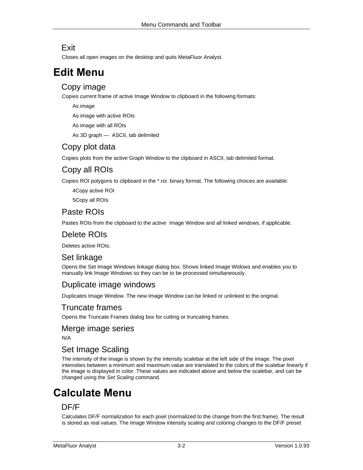### <span id="page-14-0"></span>**Exit**

Closes all open images on the desktop and quits MetaFluor Analyst.

# <span id="page-14-1"></span>**Edit Menu**

### <span id="page-14-2"></span>Copy image

Copies current frame of active Image Window to clipboard in the following formats:

As image

As image with active ROIs

As image with all ROIs

As 3D graph — ASCII, tab delimited

### Copy plot data

Copies plots from the active Graph Window to the clipboard in ASCII, tab delimited format.

# Copy all ROIs

Copies ROI polygons to clipboard in the \*.roi binary format. The following choices are available:

4Copy active ROI

5Copy all ROIs

# Paste ROIs

Pastes ROIs from the clipboard to the active Image Window and all linked windows, if applicable.

## Delete ROIs

Deletes active ROIs.

# <span id="page-14-3"></span>Set linkage

Opens the Set Image Windows linkage dialog box. Shows linked Image Widows and enables you to manually link Image Windows so they can be to be processed simultaneously.

#### Duplicate image windows

Duplicates Image Window. The new Image Window can be linked or unlinked to the original.

#### <span id="page-14-4"></span>Truncate frames

Opens the Truncate Frames dialog box for cutting or truncating frames.

#### <span id="page-14-5"></span>Merge image series

N/A

### <span id="page-14-6"></span>Set Image Scaling

The intensity of the image is shown by the intensity scalebar at the left side of the image. The pixel intensities between a minimum and maximum value are translated to the colors of the scalebar linearly if the image is displayed in color. These values are indicated above and below the scalebar, and can be changed using the *Set Scaling* command.

# <span id="page-14-7"></span>**Calculate Menu**

### <span id="page-14-8"></span>DF/F

Calculates DF/F normalization for each pixel (normalized to the change from the first frame). The result is stored as real values. The Image Window intensity scaling and coloring changes to the DF/F preset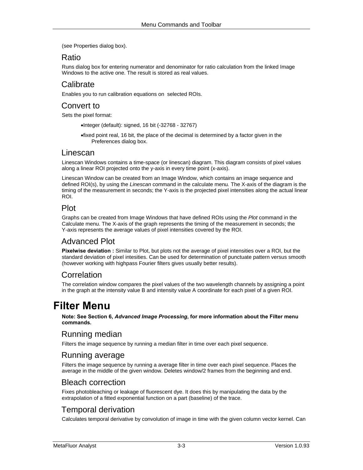(see Properties dialog box).

#### <span id="page-15-0"></span>Ratio

Runs dialog box for entering numerator and denominator for ratio calculation from the linked Image Windows to the active one. The result is stored as real values.

#### <span id="page-15-1"></span>Calibrate

Enables you to run calibration equations on selected ROIs.

### <span id="page-15-2"></span>Convert to

Sets the pixel format:

- •Integer (default): signed, 16 bit (-32768 32767)
- •fixed point real, 16 bit, the place of the decimal is determined by a factor given in the Preferences dialog box.

#### <span id="page-15-3"></span>Linescan

Linescan Windows contains a time-space (or linescan) diagram. This diagram consists of pixel values along a linear ROI projected onto the y-axis in every time point (x-axis).

Linescan Window can be created from an Image Window, which contains an image sequence and defined ROI(s), by using the *Linescan* command in the calculate menu*.* The X-axis of the diagram is the timing of the measurement in seconds; the Y-axis is the projected pixel intensities along the actual linear ROI.

#### <span id="page-15-4"></span>Plot

Graphs can be created from Image Windows that have defined ROIs using the *Plot* command in the Calculate menu. The X-axis of the graph represents the timing of the measurement in seconds; the Y-axis represents the average values of pixel intensities covered by the ROI.

#### <span id="page-15-5"></span>Advanced Plot

**Pixelwise deviation :** Similar to Plot, but plots not the average of pixel intensities over a ROI, but the standard deviation of pixel intesities. Can be used for determination of punctuate pattern versus smooth (however working with highpass Fourier filters gives usually better results).

### <span id="page-15-6"></span>Correlation

The correlation window compares the pixel values of the two wavelength channels by assigning a point in the graph at the intensity value B and intensity value A coordinate for each pixel of a given ROI.

# <span id="page-15-7"></span>**Filter Menu**

**Note: See Section 6,** *Advanced Image Processing***, for more information about the Filter menu commands.** 

#### <span id="page-15-8"></span>Running median

Filters the image sequence by running a median filter in time over each pixel sequence.

#### <span id="page-15-9"></span>Running average

Filters the image sequence by running a average filter in time over each pixel sequence. Places the average in the middle of the given window. Deletes window/2 frames from the beginning and end.

#### <span id="page-15-10"></span>Bleach correction

Fixes photobleaching or leakage of fluorescent dye. It does this by manipulating the data by the extrapolation of a fitted exponential function on a part (baseline) of the trace.

#### <span id="page-15-11"></span>Temporal derivation

Calculates temporal derivative by convolution of image in time with the given column vector kernel. Can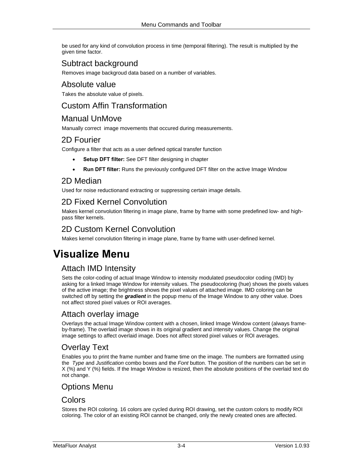be used for any kind of convolution process in time (temporal filtering). The result is multiplied by the given time factor.

# <span id="page-16-0"></span>Subtract background

Removes image backgroud data based on a number of variables.

#### <span id="page-16-1"></span>Absolute value

Takes the absolute value of pixels.

### <span id="page-16-2"></span>Custom Affin Transformation

#### <span id="page-16-3"></span>Manual UnMove

Manually correct image movements that occured during measurements.

### <span id="page-16-4"></span>2D Fourier

Configure a filter that acts as a user defined optical transfer function

- **Setup DFT filter:** See DFT filter designing in chapter
- **Run DFT filter:** Runs the previously configured DFT filter on the active Image Window

### <span id="page-16-5"></span>2D Median

Used for noise reductionand extracting or suppressing certain image details.

# <span id="page-16-6"></span>2D Fixed Kernel Convolution

Makes kernel convolution filtering in image plane, frame by frame with some predefined low- and highpass filter kernels.

### <span id="page-16-7"></span>2D Custom Kernel Convolution

Makes kernel convolution filtering in image plane, frame by frame with user-defined kernel.

# <span id="page-16-8"></span>**Visualize Menu**

# <span id="page-16-9"></span>Attach IMD Intensity

Sets the color-coding of actual Image Window to intensity modulated pseudocolor coding (IMD) by asking for a linked Image Window for intensity values. The pseudocoloring (hue) shows the pixels values of the active image; the brightness shows the pixel values of attached image. IMD coloring can be switched off by setting the *gradient* in the popup menu of the Image Window to any other value. Does not affect stored pixel values or ROI averages.

#### <span id="page-16-10"></span>Attach overlay image

Overlays the actual Image Window content with a chosen, linked Image Window content (always frameby-frame). The overlaid image shows in its original gradient and intensity values. Change the original image settings to affect overlaid image. Does not affect stored pixel values or ROI averages.

# <span id="page-16-11"></span>Overlay Text

Enables you to print the frame number and frame time on the image. The numbers are formatted using the *Type* and *Justification* combo boxes and the *Font* button. The position of the numbers can be set in X (%) and Y (%) fields. If the Image Window is resized, then the absolute positions of the overlaid text do not change.

### <span id="page-16-12"></span>Options Menu

#### <span id="page-16-13"></span>Colors

Stores the ROI coloring. 16 colors are cycled during ROI drawing, set the custom colors to modify ROI coloring. The color of an existing ROI cannot be changed, only the newly created ones are affected.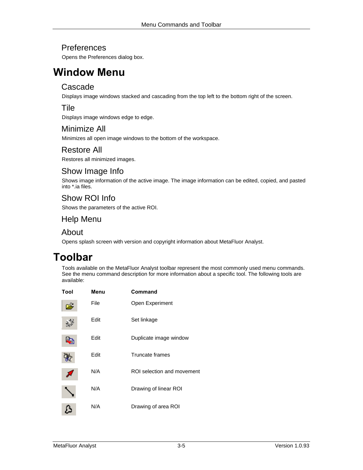### <span id="page-17-0"></span>Preferences

Opens the Preferences dialog box.

# <span id="page-17-1"></span>**Window Menu**

#### <span id="page-17-2"></span>Cascade

Displays image windows stacked and cascading from the top left to the bottom right of the screen.

#### <span id="page-17-3"></span>Tile

Displays image windows edge to edge.

#### <span id="page-17-4"></span>Minimize All

Minimizes all open image windows to the bottom of the workspace.

#### <span id="page-17-5"></span>Restore All

Restores all minimized images.

### <span id="page-17-6"></span>Show Image Info

Shows image information of the active image. The image information can be edited, copied, and pasted into \*.ia files.

### <span id="page-17-7"></span>Show ROI Info

Shows the parameters of the active ROI.

#### <span id="page-17-8"></span>Help Menu

#### <span id="page-17-9"></span>About

Opens splash screen with version and copyright information about MetaFluor Analyst.

# <span id="page-17-10"></span>**Toolbar**

Tools available on the MetaFluor Analyst toolbar represent the most commonly used menu commands. See the menu command description for more information about a specific tool. The following tools are available:

| Tool | Menu | Command                    |
|------|------|----------------------------|
|      | File | Open Experiment            |
|      | Edit | Set linkage                |
|      | Edit | Duplicate image window     |
|      | Edit | Truncate frames            |
|      | N/A  | ROI selection and movement |
|      | N/A  | Drawing of linear ROI      |
|      | N/A  | Drawing of area ROI        |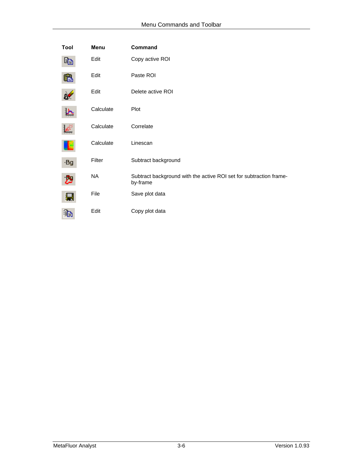| Tool | Menu      | Command                                                                        |
|------|-----------|--------------------------------------------------------------------------------|
|      | Edit      | Copy active ROI                                                                |
|      | Edit      | Paste ROI                                                                      |
|      | Edit      | Delete active ROI                                                              |
|      | Calculate | Plot                                                                           |
|      | Calculate | Correlate                                                                      |
|      | Calculate | Linescan                                                                       |
| -Bg  | Filter    | Subtract background                                                            |
|      | NA        | Subtract background with the active ROI set for subtraction frame-<br>by-frame |
|      | File      | Save plot data                                                                 |
|      | Edit      | Copy plot data                                                                 |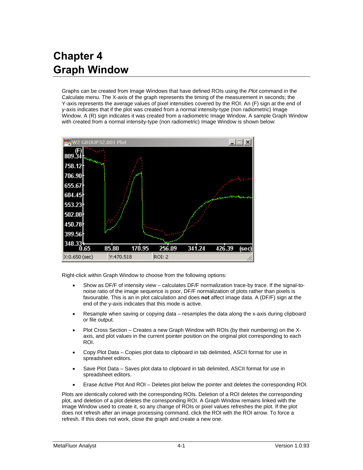# <span id="page-19-0"></span>**Chapter 4 Graph Window**

Graphs can be created from Image Windows that have defined ROIs using the *Plot* command in the Calculate menu. The X-axis of the graph represents the timing of the measurement in seconds; the Y-axis represents the average values of pixel intensities covered by the ROI. An (F) sign at the end of y-axis indicates that if the plot was created from a normal intensity-type (non radiometric) Image Window. A (R) sign indicates it was created from a radiometric Image Window. A sample Graph Window with created from a normal intensity-type (non radiometric) Image Window is shown below:



Right-click within Graph Window to choose from the following options:

- Show as DF/F of intensity view calculates DF/F normalization trace-by trace. If the signal-tonoise ratio of the image sequence is poor, DF/F normalization of plots rather than pixels is favourable. This is an in plot calculation and does **not** affect image data. A (DF/F) sign at the end of the y-axis indicates that this mode is active.
- Resample when saving or copying data resamples the data along the x-axis during clipboard or file output.
- Plot Cross Section Creates a new Graph Window with ROIs (by their numbering) on the Xaxis, and plot values in the current pointer position on the original plot corresponding to each ROI.
- Copy Plot Data Copies plot data to clipboard in tab delimited, ASCII format for use in spreadsheet editors.
- Save Plot Data Saves plot data to clipboard in tab delimited, ASCII format for use in spreadsheet editors.
- Erase Active Plot And ROI Deletes plot below the pointer and deletes the corresponding ROI.

Plots are identically colored with the corresponding ROIs. Deletion of a ROI deletes the corresponding plot, and deletion of a plot deletes the corresponding ROI. A Graph Window remains linked with the Image Window used to create it, so any change of ROIs or pixel values refreshes the plot. If the plot does not refresh after an image processing command, click the ROI with the ROI arrow. To force a refresh. If this does not work, close the graph and create a new one.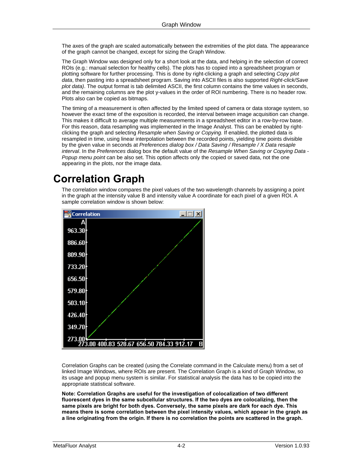The axes of the graph are scaled automatically between the extremities of the plot data. The appearance of the graph cannot be changed, except for sizing the Graph Window.

The Graph Window was designed only for a short look at the data, and helping in the selection of correct ROIs (e.g.: manual selection for healthy cells). The plots has to copied into a spreadsheet program or plotting software for further processing. This is done by right-clicking a graph and selecting *Copy plot data*, then pasting into a spreadsheet program. Saving into ASCII files is also supported *Right-click/Save plot data)*. The output format is tab delimited ASCII, the first column contains the time values in seconds, and the remaining columns are the plot y-values in the order of ROI numbering. There is no header row. Plots also can be copied as bitmaps.

The timing of a measurement is often affected by the limited speed of camera or data storage system, so however the exact time of the exposition is recorded, the interval between image acquisition can change. This makes it difficult to average multiple measurements in a spreadsheet editor in a row-by-row base. For this reason, data resampling was implemented in the Image Analyst. This can be enabled by rightclicking the graph and selecting *Resample when Saving or Copying.* If enabled, the plotted data is resampled in time, using linear interpolation between the recorded points, yielding time points divisible by the given value in seconds at *Preferences dialog box / Data Saving / Resample / X Data resaple interval*. In the *Preferences* dialog box the default value of the *Resample When Saving or Copying Data - Popup menu point* can be also set. This option affects only the copied or saved data, not the one appearing in the plots, nor the image data.

# <span id="page-20-0"></span>**Correlation Graph**

The correlation window compares the pixel values of the two wavelength channels by assigning a point in the graph at the intensity value B and intensity value A coordinate for each pixel of a given ROI. A sample correlation window is shown below:



Correlation Graphs can be created (using the Correlate command in the Calculate menu) from a set of linked Image Windows, where ROIs are present. The Correlation Graph is a kind of Graph Window, so its usage and popup menu system is similar. For statistical analysis the data has to be copied into the appropriate statistical software.

**Note: Correlation Graphs are useful for the investigation of colocalization of two different fluorescent dyes in the same subcellular structures. If the two dyes are colocalizing, then the same pixels are bright for both dyes. Conversely, the same pixels are dark for each dye. This means there is some correlation between the pixel intensity values, which appear in the graph as a line originating from the origin. If there is no correlation the points are scattered in the graph.**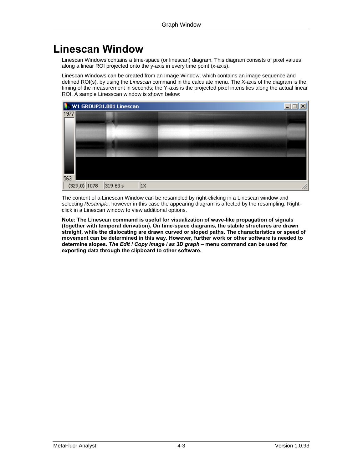# <span id="page-21-0"></span>**Linescan Window**

Linescan Windows contains a time-space (or linescan) diagram. This diagram consists of pixel values along a linear ROI projected onto the y-axis in every time point (x-axis).

Linescan Windows can be created from an Image Window, which contains an image sequence and defined ROI(s), by using the *Linescan* command in the calculate menu*.* The X-axis of the diagram is the timing of the measurement in seconds; the Y-axis is the projected pixel intensities along the actual linear ROI. A sample Linesscan window is shown below:



The content of a Linescan Window can be resampled by right-clicking in a Linescan window and selecting *Resample*, however in this case the appearing diagram is affected by the resampling. Rightclick in a Linescan window to view additional options.

**Note: The Linescan command is useful for visualization of wave-like propagation of signals (together with temporal derivation). On time-space diagrams, the stabile structures are drawn straight, while the dislocating are drawn curved or sloped paths. The characteristics or speed of movement can be determined in this way. However, further work or other software is needed to determine slopes.** *The Edit / Copy Image / as 3D graph* **– menu command can be used for exporting data through the clipboard to other software.**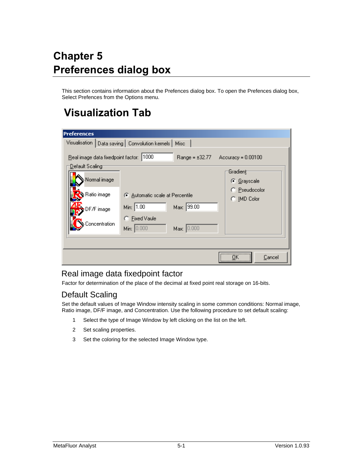# <span id="page-22-0"></span>**Chapter 5 Preferences dialog box**

This section contains information about the Prefences dialog box. To open the Prefences dialog box, Select Prefences from the Options menu.

# <span id="page-22-1"></span>**Visualization Tab**

| <b>Preferences</b>        |               |                                          |                     |                         |        |
|---------------------------|---------------|------------------------------------------|---------------------|-------------------------|--------|
| Visualisation             |               | Data saving   Convolution kernels   Misc |                     |                         |        |
| : <u>D</u> efault Scaling |               | Real image data fixedpoint factor: 1000  | Range = $\pm 32.77$ | $Accuracy = 0.00100$    |        |
|                           | Normal image  |                                          |                     | Gradient<br>C Grayscale |        |
| Ratio image               |               | C Automatic scale at Percentile          |                     | C Pseudocolor           |        |
| DF/Fimage                 |               | Min: 1.00                                | Max: 39.00          | C IMD Color             |        |
|                           | Concentration | C Fixed Vaule<br>Min: 0.000              | Max: 0.000          |                         |        |
|                           |               |                                          |                     |                         |        |
|                           |               |                                          |                     | <br>                    | Cancel |

### <span id="page-22-2"></span>Real image data fixedpoint factor

Factor for determination of the place of the decimal at fixed point real storage on 16-bits.

### <span id="page-22-3"></span>Default Scaling

Set the default values of Image Window intensity scaling in some common conditions: Normal image, Ratio image, DF/F image, and Concentration. Use the following procedure to set default scaling:

- 1 Select the type of Image Window by left clicking on the list on the left.
- 2 Set scaling properties.
- 3 Set the coloring for the selected Image Window type.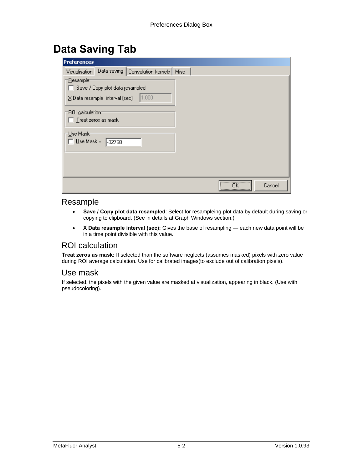# <span id="page-23-0"></span>**Data Saving Tab**

| <b>Preferences</b>                                                                                       |                       |
|----------------------------------------------------------------------------------------------------------|-----------------------|
| Data saving   Convolution kernels   Misc<br>Visualisation                                                |                       |
| : <u>R</u> esample<br>Save / Copy plot data resampled<br>1.000<br>$\Sigma$ Data resample interval (sec): |                       |
| ROI calculation<br>Treat zeros as mask                                                                   |                       |
| - <u>U</u> se Mask-<br>$\underline{U}$ se Mask =<br>.32768                                               |                       |
|                                                                                                          |                       |
|                                                                                                          | <br>Пk<br>Cancel<br>\ |

#### <span id="page-23-1"></span>Resample

- **Save / Copy plot data resampled**: Select for resampleing plot data by default during saving or copying to clipboard. (See in details at Graph Windows section.)
- **X Data resample interval (sec):** Gives the base of resampling each new data point will be in a time point divisible with this value.

#### <span id="page-23-2"></span>ROI calculation

**Treat zeros as mask:** If selected than the software neglects (assumes masked) pixels with zero value during ROI average calculation. Use for calibrated images(to exclude out of calibration pixels).

#### <span id="page-23-3"></span>Use mask

If selected, the pixels with the given value are masked at visualization, appearing in black. (Use with pseudocoloring).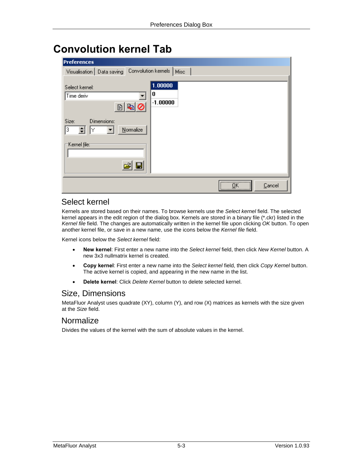# <span id="page-24-0"></span>**Convolution kernel Tab**

| <b>Preferences</b>                                     |                       |
|--------------------------------------------------------|-----------------------|
| Convolution kernels<br>Visualisation   Data saving     | Misc                  |
| Select kernel:<br>0<br>Time deriv<br>$\circ$<br>国<br>圕 | 1.00000<br>$-1.00000$ |
| Size:<br>Dimensions:<br>Normalize<br>3                 |                       |
| 'Kernel <u>f</u> ile:⊤                                 |                       |
|                                                        | <br>ПK<br>Cancel      |

### <span id="page-24-1"></span>Select kernel

Kernels are stored based on their names. To browse kernels use the *Select kernel* field. The selected kernel appears in the edit region of the dialog box. Kernels are stored in a binary file (\*.ckr) listed in the *Kernel file* field. The changes are automatically written in the kernel file upon clicking *OK* button. To open another kernel file, or save in a new name, use the icons below the *Kernel file* field.

Kernel icons below the *Select kernel* field:

- **New kernel**: First enter a new name into the *Select kernel* field, then click *New Kernel* button. A new 3x3 nullmatrix kernel is created.
- **Copy kernel**: First enter a new name into the *Select kernel* field, then click *Copy Kernel* button. The active kernel is copied, and appearing in the new name in the list.
- **Delete kernel**: Click *Delete Kernel* button to delete selected kernel.

#### <span id="page-24-2"></span>Size, Dimensions

MetaFluor Analyst uses quadrate (XY), column (Y), and row (X) matrices as kernels with the size given at the *Size* field.

#### <span id="page-24-3"></span>Normalize

Divides the values of the kernel with the sum of absolute values in the kernel.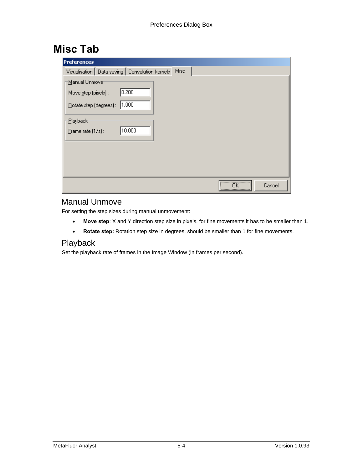# <span id="page-25-0"></span>**Misc Tab**

| <b>Preferences</b>                                |                                 |
|---------------------------------------------------|---------------------------------|
| Visualisation   Data saving   Convolution kernels | Misc                            |
| Manual Unmove                                     |                                 |
| 0.200<br>Move step (pixels) :                     |                                 |
| 1.000<br>Rotate step (degrees):                   |                                 |
| Playback <sup>-</sup>                             |                                 |
| 10.000<br>Erame rate $(1/s)$ :                    |                                 |
|                                                   |                                 |
|                                                   |                                 |
|                                                   |                                 |
|                                                   |                                 |
|                                                   | <br>ΩK<br>Cancel<br><u> \</u> . |

### <span id="page-25-1"></span>Manual Unmove

For setting the step sizes during manual unmovement:

- **Move step**: X and Y direction step size in pixels, for fine movements it has to be smaller than 1.
- **Rotate step:** Rotation step size in degrees, should be smaller than 1 for fine movements.

### <span id="page-25-2"></span>Playback

Set the playback rate of frames in the Image Window (in frames per second).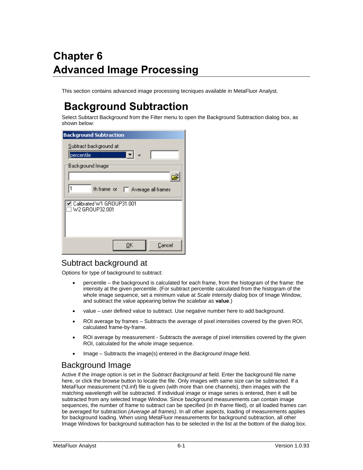# <span id="page-26-0"></span>**Chapter 6 Advanced Image Processing**

This section contains advanced image processing tecniques available in MetaFluor Analyst.

# <span id="page-26-1"></span>**Background Subtraction**

Select Subtarct Background from the Filter menu to open the Background Subtraction dialog box, as shown below:

| <b>Background Subtraction</b>                 |
|-----------------------------------------------|
| Subtract background at:                       |
| H –<br>percentile                             |
| Background Image:                             |
|                                               |
| th frame or   Average all frames              |
| ☑ Calibrated W1 GROUP31.001<br>W2 GROUP32.001 |
| OΚ<br>Cancel                                  |

#### <span id="page-26-2"></span>Subtract background at

Options for type of background to subtract:

- percentile the background is calculated for each frame, from the histogram of the frame: the intensity at the given percentile. (For subtract percentile calculated from the histogram of the whole image sequence, set a minimum value at *Scale Intensity* dialog box of Image Window, and subtract the value appearing below the scalebar as **value**.)
- value user defined value to subtract. Use negative number here to add background.
- ROI average by frames Subtracts the average of pixel intensities covered by the given ROI, calculated frame-by-frame.
- ROI average by measurement Subtracts the average of pixel intensities covered by the given ROI, calculated for the whole image sequence.
- Image Subtracts the image(s) entered in the *Background Image* field.

# <span id="page-26-3"></span>Background Image

Active if the *Image* option is set in the *Subtract Background at* field. Enter the background file name here, or click the browse button to locate the file. Only images with same size can be subtracted. If a MetaFluor measurement (\*d.inf) file is given (with more than one channels), then images with the matching wavelength will be subtracted. If individual image or image series is entered, then it will be subtracted from any selected Image Window. Since background measurements can contain image sequences, the number of frame to subtract can be specified (in *th frame* filed), or all loaded frames can be averaged for subtraction *(Average all frames)*. In all other aspects, loading of measurements applies for background loading. When using MetaFluor measurements for background subtraction, all other Image Windows for background subtraction has to be selected in the list at the bottom of the dialog box.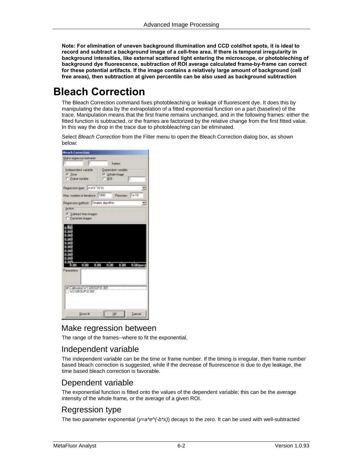**Note: For elimination of uneven background illumination and CCD cold/hot spots, it is ideal to record and subtract a background image of a cell-free area. If there is temporal irregularity in background intensities, like external scattered light entering the microscope, or photobleching of background dye fluorescence, subtraction of ROI average calculated frame-by-frame can correct for these potential artifacts. If the image contains a relatively large amount of background (cell free areas), then subtraction at given percentile can be also used as background subtraction** 

# <span id="page-27-0"></span>**Bleach Correction**

The Bleach Correction command fixes photobleaching or leakage of fluorescent dye. It does this by manipulating the data by the extrapolation of a fitted exponential function on a part (baseline) of the trace. Manipulation means that the first frame remains unchanged, and in the following frames: either the fitted function is subtracted, or the frames are factorized by the relative change from the first fitted value. In this way the drop in the trace due to photobleaching can be eliminated.

Select *Bleach Correction* from the Filter menu to open the Bleach Correction dialog box, as shown below:



#### <span id="page-27-1"></span>Make regression between

The range of the frames--where to fit the exponential.

#### <span id="page-27-2"></span>Independent variable

The independent variable can be the time or frame number. If the timing is irregular, then frame number based bleach correction is suggested, while if the decrease of fluorescence is due to dye leakage, the time based bleach correction is favorable.

#### <span id="page-27-3"></span>Dependent variable

The exponential function is fitted onto the values of the dependent variable; this can be the average intensity of the whole frame, or the average of a given ROI.

#### <span id="page-27-4"></span>Regression type

The two parameter exponential (*y=a\*e^(-b\*x)*) decays to the zero. It can be used with well-subtracted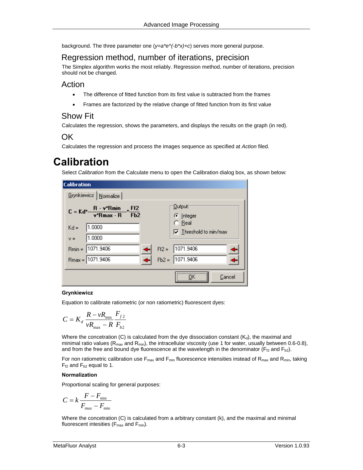background. The three parameter one (*y=a\*e^(-b\*x)+c*) serves more general purpose.

#### <span id="page-28-0"></span>Regression method, number of iterations, precision

The Simplex algorithm works the most reliably. Regression method, number of iterations, precision should not be changed.

#### <span id="page-28-1"></span>Action

- The difference of fitted function from its first value is subtracted from the frames
- Frames are factorized by the relative change of fitted function from its first value

#### <span id="page-28-2"></span>Show Fit

Calculates the regression, shows the parameters, and displays the results on the graph (in red).

### <span id="page-28-3"></span>OK

Calculates the regression and process the images sequence as specified at *Action* filed.

# <span id="page-28-4"></span>**Calibration**

Select *Calibration* from the Calculate menu to open the Calibration dialog box, as shown below:

| <b>Calibration</b>                               |                                                  |
|--------------------------------------------------|--------------------------------------------------|
| Grynkiewicz   Normalize                          |                                                  |
| $C = Kd^*$ $\frac{R - v^*Rmin}{v^*Rmax - R}$ Fb2 | : <u>O</u> utput:<br>C Integer                   |
| 1.0000<br>$Kd =$                                 | $\bigcirc$ Real<br>$\nabla$ Threshold to min/max |
| 1.0000<br>$V =$                                  |                                                  |
| 1071.9406<br>$Rmin =$                            | 1071.9406<br>$Ff2 =$                             |
| $P_{max} = 1071.9406$                            | $Fb2 = 1071.9406$                                |
|                                                  | Cancel                                           |

#### **Grynkiewicz**

Equation to calibrate ratiometric (or non ratiometric) fluorescent dyes:

$$
C = K_d \frac{R - \nu R_{\min}}{\nu R_{\max} - R} \frac{F_{f2}}{F_{b2}}
$$

Where the concetration (C) is calculated from the dye dissociation constant  $(K_d)$ , the maximal and minimal ratio values ( $R_{max}$  and  $R_{min}$ ), the intracellular viscosity (use 1 for water, usually between 0.6-0.8), and from the free and bound dye fluorescence at the wavelength in the denominator ( $F_{f2}$  and  $F_{b2}$ ).

For non ratiometric calibration use  $F_{max}$  and  $F_{min}$  fluorescence intensities instead of  $R_{max}$  and  $R_{min}$ , taking  $F_{t2}$  and  $F_{b2}$  equal to 1.

#### **Normalization**

Proportional scaling for general purposes:

$$
C = k \frac{F - F_{\min}}{F_{\max} - F_{\min}}
$$

Where the concetration (C) is calculated from a arbitrary constant (k), and the maximal and minimal fluorescent intesities ( $F_{\text{max}}$  and  $F_{\text{min}}$ ).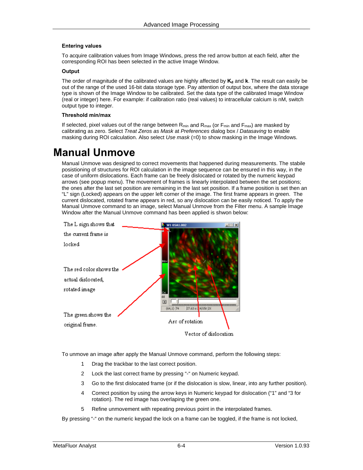#### **Entering values**

To acquire calibration values from Image Windows, press the red arrow button at each field, after the corresponding ROI has been selected in the active Image Window.

#### **Output**

The order of magnitude of the calibrated values are highly affected by  $K_d$  and k. The result can easily be out of the range of the used 16-bit data storage type. Pay attention of output box, where the data storage type is shown of the Image Window to be calibrated. Set the data type of the calibrated Image Window (real or integer) here. For example: if calibration ratio (real values) to intracellular calcium is nM, switch output type to integer.

#### **Threshold min/max**

If selected, pixel values out of the range between  $R_{min}$  and  $R_{max}$  (or  $F_{min}$  and  $F_{max}$ ) are masked by calibrating as zero. Select *Treat Zeros as Mask* at *Preferences* dialog box / *Datasaving* to enable masking during ROI calculation. Also select *Use mask* (=0) to show masking in the Image Windows.

# <span id="page-29-0"></span>**Manual Unmove**

Manual Unmove was designed to correct movements that happened during measurements. The stabile posistioning of structures for ROI calculation in the image sequence can be ensured in this way, in the case of uniform dislocations. Each frame can be freely dislocated or rotated by the numeric keypad arrows (see popup menu). The movement of frames is linearly interpolated between the set positions; the ones after the last set position are remaining in the last set position. If a frame position is set then an "L" sign (Locked) appears on the upper left corner of the image. The first frame appears in green. The current dislocated, rotated frame appears in red, so any dislocation can be easily noticed. To apply the Manual Unmove command to an image, select Manual Unmove from the Filter menu. A sample Image Window after the Manual Unmove command has been applied is shwon below:



To unmove an image after apply the Manual Unmove command, perform the following steps:

- 1 Drag the trackbar to the last correct position.
- 2 Lock the last correct frame by pressing "-" on Numeric keypad.
- 3 Go to the first dislocated frame (or if the dislocation is slow, linear, into any further position).
- 4 Correct position by using the arrow keys in Numeric keypad for dislocation ("1" and "3 for rotation). The red image has overlaping the green one.
- 5 Refine unmovement with repeating previous point in the interpolated frames.

By pressing "-" on the numeric keypad the lock on a frame can be toggled, if the frame is not locked,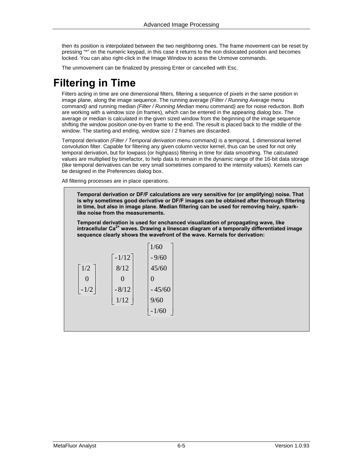then its position is interpolated between the two neighboring ones. The frame movement can be reset by pressing "\*" on the numeric keypad, in this case it returns to the non dislocated position and becomes locked. You can also right-click in the Image Window to acess the Unmove commands.

The unmovement can be finalized by pressing Enter or cancelled with Esc.

# <span id="page-30-0"></span>**Filtering in Time**

Filters acting in time are one dimensional filters, filtering a sequence of pixels in the same position in image plane, along the image sequence. The running average *(Filter / Running Average* menu command*)* and running median *(Filter / Running Median* menu command*)* are for noise reduction. Both are working with a window size (in frames), which can be entered in the appearing dialog box. The average or median is calculated in the given sized window from the beginning of the image sequence shifting the window position one-by-en frame to the end. The result is placed back to the middle of the window. The starting and ending, window size / 2 frames are discarded.

Temporal derivation *(Filter / Temporal derivation* menu command*)* is a temporal, 1 dimensional kernel convolution filter. Capable for filtering any given column vector kernel, thus can be used for not only temporal derivation, but for lowpass (or highpass) filtering in time for data smoothing. The calculated values are multiplied by timefactor, to help data to remain in the dynamic range of the 16-bit data storage (like temporal derivatives can be very small sometimes compared to the intensity values). Kernels can be designed in the Preferences dialog box.

All filtering processes are in place operations.

**Temporal derivation or DF/F calculations are very sensitive for (or amplifying) noise. That is why sometimes good derivative or DF/F images can be obtained after thorough filtering in time, but also in image plane. Median filtering can be used for removing hairy, sparklike noise from the measurements.** 

**Temporal derivation is used for enchanced visualization of propagating wave, like intracellular Ca2+ waves. Drawing a linescan diagram of a temporally differentiated image sequence clearly shows the wavefront of the wave. Kernels for derivation:** 

|        |              | 1/60          |
|--------|--------------|---------------|
|        | $-1/12$      | $-9/60$       |
| 1/2    | 8/12         | 45/60         |
| 0      | $\mathbf{O}$ | $\mathcal{O}$ |
| $-1/2$ | $-8/12$      | $-45/60$      |
|        | 1/12         | 9/60          |
|        |              | $-1/60$       |
|        |              |               |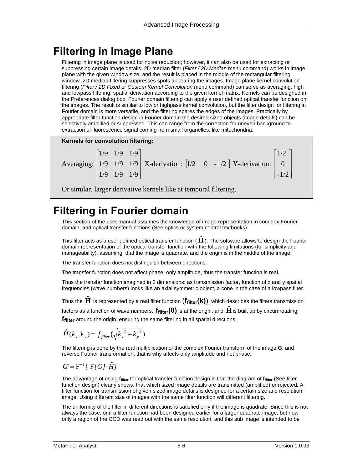# <span id="page-31-0"></span>**Filtering in Image Plane**

Filtering in image plane is used for noise reduction; however, it can also be used for extracting or suppressing certain image details. 2D median filter (*Filter / 2D Median* menu command) works in image plane with the given window size, and the result is placed in the middle of the rectangular filtering window. 2D median filtering suppresses spots appearing the images. Image plane kernel convolution filtering (*Filter / 2D Fixed* or *Custom Kernel Convolution* menu command) can serve as averaging, high and lowpass filtering, spatial derivation according to the given kernel matrix. Kernels can be designed in the Preferences dialog box. Fourier domain filtering can apply a user defined optical transfer function on the images. The result is similar to low or highpass kernel convolution, but the filter design for filtering in Fourier domain is more versatile, and the filtering spares the edges of the images. Practically by appropriate filter function design in Fourier domain the desired sized objects (image details) can be selectively amplified or suppressed. This can range from the correction for uneven background to extraction of fluorescence signal coming from small organelles, like mitochondria.



Or similar, larger derivative kernels like at temporal filtering.

# <span id="page-31-1"></span>**Filtering in Fourier domain**

This section of the user manual assumes the knowledge of image representation in complex Fourier domain, and optical transfer functions (See optics or system control textbooks).

This filter acts as a user defined optical transfer function ( **H***ˆ* ). The software allows to design the Fourier domain representation of the optical transfer function with the following limitations (for simplicity and manageability), assuming, that the image is quadrate, and the origin is in the middle of the image:

The transfer function does not distinguish between directions.

The transfer function does not affect phase, only amplitude, thus the transfer function is real.

Thus the transfer function imagined in 3 dimensions: as transmission factor, function of x and y spatial frequencies (wave numbers) looks like an axial symmetric object, a cone in the case of a lowpass filter.

Thus the  $\bf{H}$  is represented by a real filter function  $(\bf{f_{filter}(k)})$ , which describes the filters transmission factors as a function of wave numbers. **f**<sub>filter</sub>(0) is at the origin, and **H** is built up by circumrotating **ffilter** around the origin, ensuring the same filtering in all spatial directions:

$$
\hat{H}(k_x, k_y) = f_{filter}(\sqrt{k_x^2 + k_y^2})
$$

The filtering is done by the real multiplication of the complex Fourier transform of the image **G**, and reverse Fourier transformation, that is why affects only amplitude and not phase:

$$
G = F^{-1} \{ F \{ G \} \cdot \hat{H} \}
$$

The advantage of using **ffilter** for optical transfer function design is that the diagram of **ffilter** (See filter function design) clearly shows, that which sized image details are transmitted (amplified) or rejected. A filter function for transmission of given sized image details is designed for a certain size and resolution image. Using different size of images with the same filter function will different filtering.

The uniformity of the filter in different directions is satisfied only if the image is quadrate. Since this is not always the case, or if a filter function had been designed earlier for a larger quadrate image, but now only a region of the CCD was read out with the same resolution, and this sub image is intended to be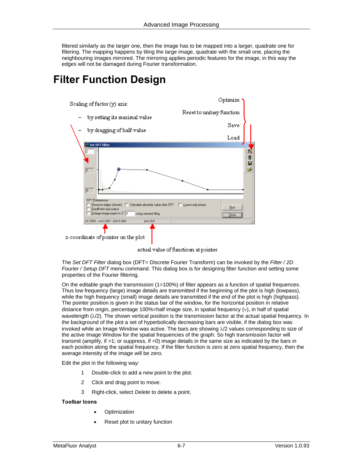filtered similarly as the larger one, then the image has to be mapped into a larger, quadrate one for filtering. The mapping happens by tiling the large image, quadrate with the small one, placing the neighbouring images mirrored. The mirroring applies periodic features for the image, in this way the edges will not be damaged during Fourier transformation.

# <span id="page-32-0"></span>**Filter Function Design**



actual value of functioan at pointer

The *Set DFT Filter* dialog box (DFT= Discrete Fourier Transform) can be invoked by the *Filter / 2D Fourier / Setup DFT* menu command. This dialog box is for designing filter function and setting some properties of the Fourier filtering.

On the editable graph the transmission (1=100%) of filter appears as a function of spatial frequences. Thus low frequency (large) image details are transmitted if the beginning of the plot is high (lowpass), while the high frequency (small) image details are transmitted if the end of the plot is high (highpass). The pointer position is given in the status bar of the window, for the horizontal position in relative distance from origin, percentage 100%=half image size, in spatial frequency (ν), in half of spatial wavelength  $(\lambda/2)$ . The shown vertical position is the transmission factor at the actual spatial frequency. In the background of the plot a set of hyperbolically decreasing bars are visible, if the dialog box was invoked while an Image Window was active. The bars are showing λ/2 values corresponding to size of the active Image Window for the spatial frequencies of the graph. So high transmission factor will transmit (amplify, if >1; or suppress, if =0) image details in the same size as indicated by the bars in each position along the spatial frequency. If the filter function is zero at zero spatial frequency, then the average intensity of the image will be zero.

Edit the plot in the following way:

- 1 Double-click to add a new point to the plot.
- 2 Click and drag point to move.
- 3 Right-click, select *Delete* to delete a point.

#### **Toolbar Icons**

- **Optimization**
- Reset plot to unitary function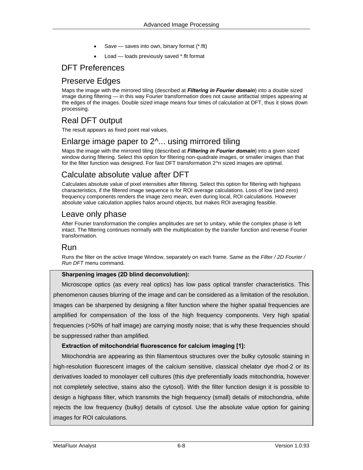- Save saves into own, binary format (\*.flt)
- Load loads previously saved \*.flt format

### <span id="page-33-0"></span>DFT Preferences

## <span id="page-33-1"></span>Preserve Edges

Maps the image with the mirrored tiling (described at *Filtering in Fourier domain*) into a double sized image during filtering — in this way Fourier transformation does not cause artifactial stripes appearing at the edges of the images. Double sized image means four times of calculation at DFT, thus it slows down processing.

# <span id="page-33-2"></span>Real DFT output

The result appears as fixed point real values.

# <span id="page-33-3"></span>Enlarge image paper to 2^... using mirrored tiling

Maps the image with the mirrored tiling (described at *Filtering in Fourier domain*) into a given sized window during filtering. Select this option for filtering non-quadrate images, or smaller images than that for the filter function was designed. For fast DFT transformation 2^n sized images are optimal.

### <span id="page-33-4"></span>Calculate absolute value after DFT

Calculates absolute value of pixel intensities after filtering. Select this option for filtering with highpass characteristics, if the filtered image sequence is for ROI average calculations. Loss of low (and zero) frequency components renders the image zero mean, even during local, ROI calculations. However absolute value calculation applies halos around objects, but makes ROI averaging feasible.

### <span id="page-33-5"></span>Leave only phase

After Fourier transformation the complex amplitudes are set to unitary, while the complex phase is left intact. The filtering continues normally with the multiplication by the transfer function and reverse Fourier transformation.

#### <span id="page-33-6"></span>Run

Runs the filter on the active Image Window, separately on each frame. Same as the *Filter / 2D Fourier / Run DFT* menu command.

#### **Sharpening images (2D blind deconvolution):**

Microscope optics (as every real optics) has low pass optical transfer characteristics. This phenomenon causes blurring of the image and can be considered as a limitation of the resolution. Images can be sharpened by designing a filter function where the higher spatial frequencies are amplified for compensation of the loss of the high frequency components. Very high spatial frequencies (>50% of half image) are carrying mostly noise; that is why these frequencies should be suppressed rather than amplified.

#### **Extraction of mitochondrial fluorescence for calcium imaging [1]:**

Mitochondria are appearing as thin filamentous structures over the bulky cytosolic staining in high-resolution fluorescent images of the calcium sensitive, classical chelator dye rhod-2 or its derivatives loaded to monolayer cell cultures (this dye preferentially loads mitochondria, however not completely selective, stains also the cytosol). With the filter function design it is possible to design a highpass filter, which transmits the high frequency (small) details of mitochondria, while rejects the low frequency (bulky) details of cytosol. Use the absolute value option for gaining images for ROI calculations.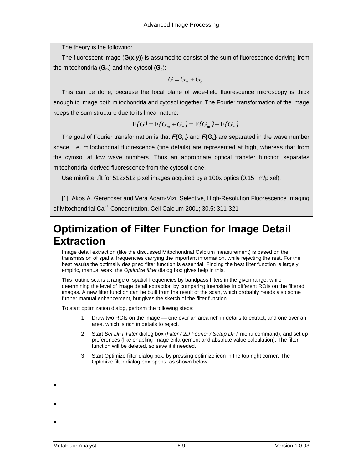The theory is the following:

The fluorescent image (**G(x,y)**) is assumed to consist of the sum of fluorescence deriving from the mitochondria  $(G_m)$  and the cytosol  $(G_c)$ :

$$
G=G_m+G_c
$$

This can be done, because the focal plane of wide-field fluorescence microscopy is thick enough to image both mitochondria and cytosol together. The Fourier transformation of the image keeps the sum structure due to its linear nature:

$$
F\{G\} = F\{G_m + G_c\} = F\{G_m\} + F\{G_c\}
$$

The goal of Fourier transformation is that  $F{G_m}$  and  $F{G_c}$  are separated in the wave number space, i.e. mitochondrial fluorescence (fine details) are represented at high, whereas that from the cytosol at low wave numbers. Thus an appropriate optical transfer function separates mitochondrial derived fluorescence from the cytosolic one.

Use mitofilter.flt for 512x512 pixel images acquired by a 100x optics (0.15 m/pixel).

[1]: Ákos A. Gerencsér and Vera Adam-Vizi, Selective, High-Resolution Fluorescence Imaging of Mitochondrial Ca<sup>2+</sup> Concentration, Cell Calcium 2001; 30.5: 311-321

# <span id="page-34-0"></span>**Optimization of Filter Function for Image Detail Extraction**

Image detail extraction (like the discussed Mitochondrial Calcium measurement) is based on the transmission of spatial frequencies carrying the important information, while rejecting the rest. For the best results the optimally designed filter function is essential. Finding the best filter function is largely empiric, manual work, the *Optimize filter* dialog box gives help in this.

This routine scans a range of spatial frequencies by bandpass filters in the given range, while determining the level of image detail extraction by comparing intensities in different ROIs on the filtered images. A new filter function can be built from the result of the scan, which probably needs also some further manual enhancement, but gives the sketch of the filter function.

To start optimization dialog, perform the following steps:

- 1 Draw two ROIs on the image one over an area rich in details to extract, and one over an area, which is rich in details to reject.
- 2 Start *Set DFT Filter* dialog box (*Filter / 2D Fourier / Setup DFT* menu command), and set up preferences (like enabling image enlargement and absolute value calculation). The filter function will be deleted, so save it if needed.
- 3 Start Optimize filter dialog box, by pressing optimize icon in the top right corner. The Optimize filter dialog box opens, as shown below:

!

!

!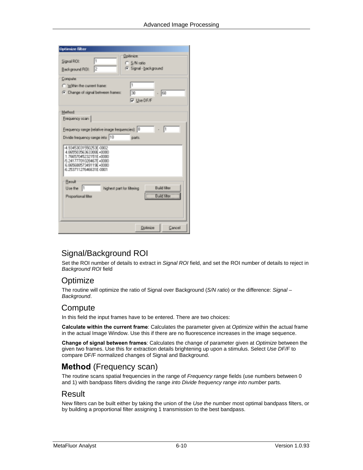| <b>Optimize filter</b>                                                                                                                                   |
|----------------------------------------------------------------------------------------------------------------------------------------------------------|
| <b>Uplimize:</b><br>I۱<br>Signal ROL<br>C S/N ratio<br>F Signal - background<br>l2<br>Background ROI:                                                    |
| Computer<br>h<br>C. Within the current frame:<br>C. Change of signal between hames:<br>130<br>- 60<br><b>Ⅳ</b> Use DF/F                                  |
| Method<br>Frequency scan  <br>Frequency range (relative image frequencies): 0<br>Divide frequency sange into 10<br>parti.                                |
| 4.93453031550253E-0002<br>4.86550356363308E+0000<br>1.76657045232151E+0000<br>5.24177701028467E+0000<br>6.86568857349119E+0000<br>6.25371127646631E-0001 |
| Result<br><b>Build liker</b><br>Use the 1<br>highest part for filtering<br><b>Build filter</b><br>Proportional liber                                     |
| Dolinize<br>Cancel                                                                                                                                       |

# <span id="page-35-0"></span>Signal/Background ROI

Set the ROI number of details to extract in *Signal ROI* field, and set the ROI number of details to reject in *Background ROI* field

### <span id="page-35-1"></span>**Optimize**

The routine will optimize the ratio of Signal over Background (*S/N ratio*) or the difference: *Signal – Background*.

### <span id="page-35-2"></span>Compute

In this field the input frames have to be entered. There are two choices:

**Calculate within the current frame**: Calculates the parameter given at *Optimize* within the actual frame in the actual Image Window. Use this if there are no fluorescence increases in the image sequence.

**Change of signal between frames**: Calculates the change of parameter given at *Optimize* between the given two frames. Use this for extraction details brightening up upon a stimulus. Select *Use DF/F* to compare DF/F normalized changes of Signal and Background.

# <span id="page-35-3"></span>**Method** (Frequency scan)

The routine scans spatial frequencies in the range of *Frequency range* fields (use numbers between 0 and 1) with bandpass filters dividing the range *into Divide frequency range into number* parts.

#### <span id="page-35-4"></span>Result

New filters can be built either by taking the union of the *Use the* number most optimal bandpass filters, or by building a proportional filter assigning 1 transmission to the best bandpass.